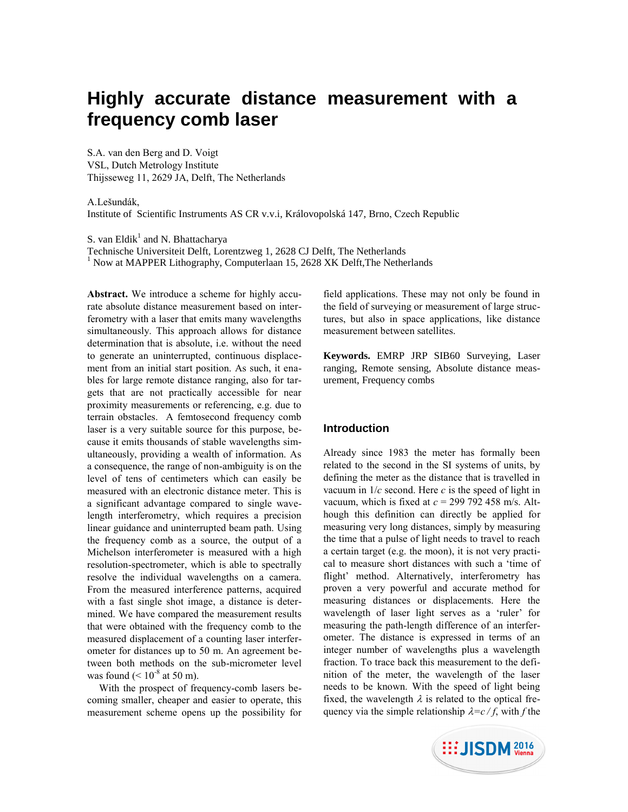# **Highly accurate distance measurement with a frequency comb laser**

S.A. van den Berg and D. Voigt VSL, Dutch Metrology Institute Thijsseweg 11, 2629 JA, Delft, The Netherlands

A.Lešundák,

Institute of Scientific Instruments AS CR v.v.i, Královopolská 147, Brno, Czech Republic

S. van Eldik<sup>1</sup> and N. Bhattacharya

Technische Universiteit Delft, Lorentzweg 1, 2628 CJ Delft, The Netherlands

 $1$  Now at MAPPER Lithography, Computerlaan 15, 2628 XK Delft, The Netherlands

**Abstract.** We introduce a scheme for highly accurate absolute distance measurement based on interferometry with a laser that emits many wavelengths simultaneously. This approach allows for distance determination that is absolute, i.e. without the need to generate an uninterrupted, continuous displacement from an initial start position. As such, it enables for large remote distance ranging, also for targets that are not practically accessible for near proximity measurements or referencing, e.g. due to terrain obstacles. A femtosecond frequency comb laser is a very suitable source for this purpose, because it emits thousands of stable wavelengths simultaneously, providing a wealth of information. As a consequence, the range of non-ambiguity is on the level of tens of centimeters which can easily be measured with an electronic distance meter. This is a significant advantage compared to single wavelength interferometry, which requires a precision linear guidance and uninterrupted beam path. Using the frequency comb as a source, the output of a Michelson interferometer is measured with a high resolution-spectrometer, which is able to spectrally resolve the individual wavelengths on a camera. From the measured interference patterns, acquired with a fast single shot image, a distance is determined. We have compared the measurement results that were obtained with the frequency comb to the measured displacement of a counting laser interferometer for distances up to 50 m. An agreement between both methods on the sub-micrometer level was found  $(< 10^{-8}$  at 50 m).

With the prospect of frequency-comb lasers becoming smaller, cheaper and easier to operate, this measurement scheme opens up the possibility for

field applications. These may not only be found in the field of surveying or measurement of large structures, but also in space applications, like distance measurement between satellites.

**Keywords.** EMRP JRP SIB60 Surveying, Laser ranging, Remote sensing, Absolute distance measurement, Frequency combs

# **Introduction**

Already since 1983 the meter has formally been related to the second in the SI systems of units, by defining the meter as the distance that is travelled in vacuum in 1/*c* second. Here *c* is the speed of light in vacuum, which is fixed at *c* = 299 792 458 m/s. Although this definition can directly be applied for measuring very long distances, simply by measuring the time that a pulse of light needs to travel to reach a certain target (e.g. the moon), it is not very practical to measure short distances with such a 'time of flight' method. Alternatively, interferometry has proven a very powerful and accurate method for measuring distances or displacements. Here the wavelength of laser light serves as a 'ruler' for measuring the path-length difference of an interferometer. The distance is expressed in terms of an integer number of wavelengths plus a wavelength fraction. To trace back this measurement to the definition of the meter, the wavelength of the laser needs to be known. With the speed of light being fixed, the wavelength  $\lambda$  is related to the optical frequency via the simple relationship  $\lambda = c / f$ , with *f* the

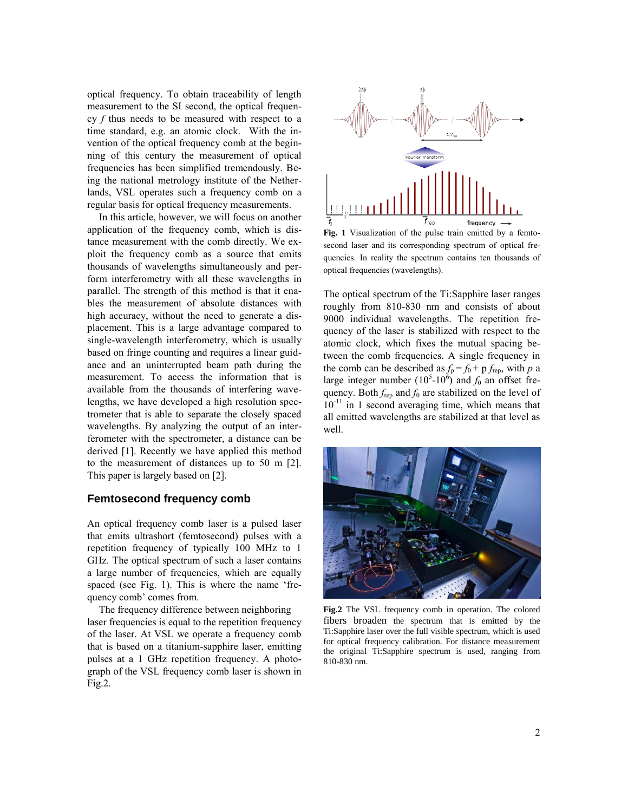optical frequency. To obtain traceability of length measurement to the SI second, the optical frequency *f* thus needs to be measured with respect to a time standard, e.g. an atomic clock. With the invention of the optical frequency comb at the beginning of this century the measurement of optical frequencies has been simplified tremendously. Being the national metrology institute of the Netherlands, VSL operates such a frequency comb on a regular basis for optical frequency measurements.

In this article, however, we will focus on another application of the frequency comb, which is distance measurement with the comb directly. We exploit the frequency comb as a source that emits thousands of wavelengths simultaneously and perform interferometry with all these wavelengths in parallel. The strength of this method is that it enables the measurement of absolute distances with high accuracy, without the need to generate a displacement. This is a large advantage compared to single-wavelength interferometry, which is usually based on fringe counting and requires a linear guidance and an uninterrupted beam path during the measurement. To access the information that is available from the thousands of interfering wavelengths, we have developed a high resolution spectrometer that is able to separate the closely spaced wavelengths. By analyzing the output of an interferometer with the spectrometer, a distance can be derived [1]. Recently we have applied this method to the measurement of distances up to 50 m [2]. This paper is largely based on [2].

# **Femtosecond frequency comb**

An optical frequency comb laser is a pulsed laser that emits ultrashort (femtosecond) pulses with a repetition frequency of typically 100 MHz to 1 GHz. The optical spectrum of such a laser contains a large number of frequencies, which are equally spaced (see [Fig. 1\)](#page-1-0). This is where the name 'frequency comb' comes from.

The frequency difference between neighboring laser frequencies is equal to the repetition frequency of the laser. At VSL we operate a frequency comb that is based on a titanium-sapphire laser, emitting pulses at a 1 GHz repetition frequency. A photograph of the VSL frequency comb laser is shown in Fig.2.



<span id="page-1-0"></span>**Fig. 1** Visualization of the pulse train emitted by a femtosecond laser and its corresponding spectrum of optical frequencies. In reality the spectrum contains ten thousands of optical frequencies (wavelengths).

The optical spectrum of the Ti:Sapphire laser ranges roughly from 810-830 nm and consists of about 9000 individual wavelengths. The repetition frequency of the laser is stabilized with respect to the atomic clock, which fixes the mutual spacing between the comb frequencies. A single frequency in the comb can be described as  $f_p = f_0 + p f_{rep}$ , with *p* a large integer number  $(10^5 \text{-} 10^6)$  and  $f_0$  an offset frequency. Both  $f_{\text{rep}}$  and  $f_0$  are stabilized on the level of  $10^{-11}$  in 1 second averaging time, which means that all emitted wavelengths are stabilized at that level as well.



**Fig.2** The VSL frequency comb in operation. The colored fibers broaden the spectrum that is emitted by the Ti:Sapphire laser over the full visible spectrum, which is used for optical frequency calibration. For distance measurement the original Ti:Sapphire spectrum is used, ranging from 810-830 nm.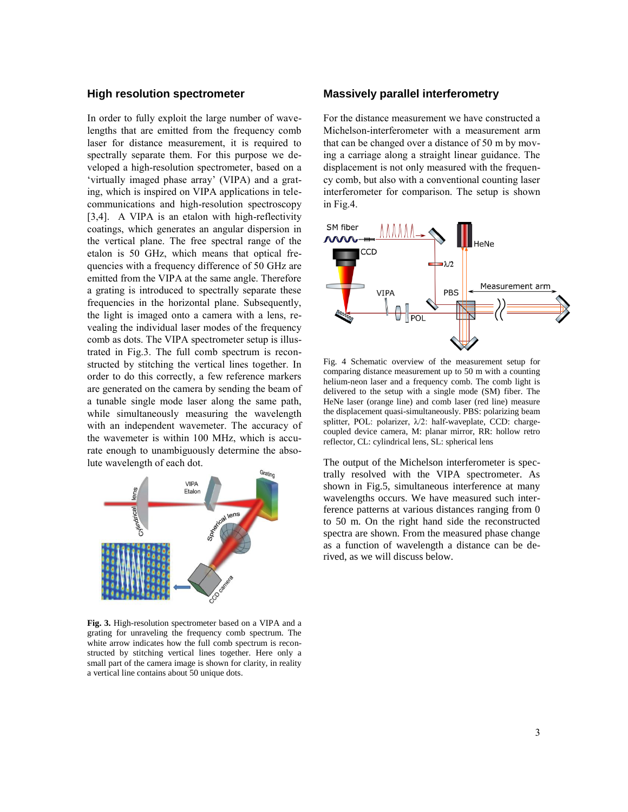#### **High resolution spectrometer**

In order to fully exploit the large number of wavelengths that are emitted from the frequency comb laser for distance measurement, it is required to spectrally separate them. For this purpose we developed a high-resolution spectrometer, based on a 'virtually imaged phase array' (VIPA) and a grating, which is inspired on VIPA applications in telecommunications and high-resolution spectroscopy [3,4]. A VIPA is an etalon with high-reflectivity coatings, which generates an angular dispersion in the vertical plane. The free spectral range of the etalon is 50 GHz, which means that optical frequencies with a frequency difference of 50 GHz are emitted from the VIPA at the same angle. Therefore a grating is introduced to spectrally separate these frequencies in the horizontal plane. Subsequently, the light is imaged onto a camera with a lens, revealing the individual laser modes of the frequency comb as dots. The VIPA spectrometer setup is illustrated in Fig.3. The full comb spectrum is reconstructed by stitching the vertical lines together. In order to do this correctly, a few reference markers are generated on the camera by sending the beam of a tunable single mode laser along the same path, while simultaneously measuring the wavelength with an independent wavemeter. The accuracy of the wavemeter is within 100 MHz, which is accurate enough to unambiguously determine the absolute wavelength of each dot.



**Fig. 3.** High-resolution spectrometer based on a VIPA and a grating for unraveling the frequency comb spectrum. The white arrow indicates how the full comb spectrum is reconstructed by stitching vertical lines together. Here only a small part of the camera image is shown for clarity, in reality a vertical line contains about 50 unique dots.

# **Massively parallel interferometry**

For the distance measurement we have constructed a Michelson-interferometer with a measurement arm that can be changed over a distance of 50 m by moving a carriage along a straight linear guidance. The displacement is not only measured with the frequency comb, but also with a conventional counting laser interferometer for comparison. The setup is shown in Fig.4.



Fig. 4 Schematic overview of the measurement setup for comparing distance measurement up to 50 m with a counting helium-neon laser and a frequency comb. The comb light is delivered to the setup with a single mode (SM) fiber. The HeNe laser (orange line) and comb laser (red line) measure the displacement quasi-simultaneously. PBS: polarizing beam splitter, POL: polarizer, λ/2: half-waveplate, CCD: chargecoupled device camera, M: planar mirror, RR: hollow retro reflector, CL: cylindrical lens, SL: spherical lens

The output of the Michelson interferometer is spectrally resolved with the VIPA spectrometer. As shown in Fig.5, simultaneous interference at many wavelengths occurs. We have measured such interference patterns at various distances ranging from 0 to 50 m. On the right hand side the reconstructed spectra are shown. From the measured phase change as a function of wavelength a distance can be derived, as we will discuss below.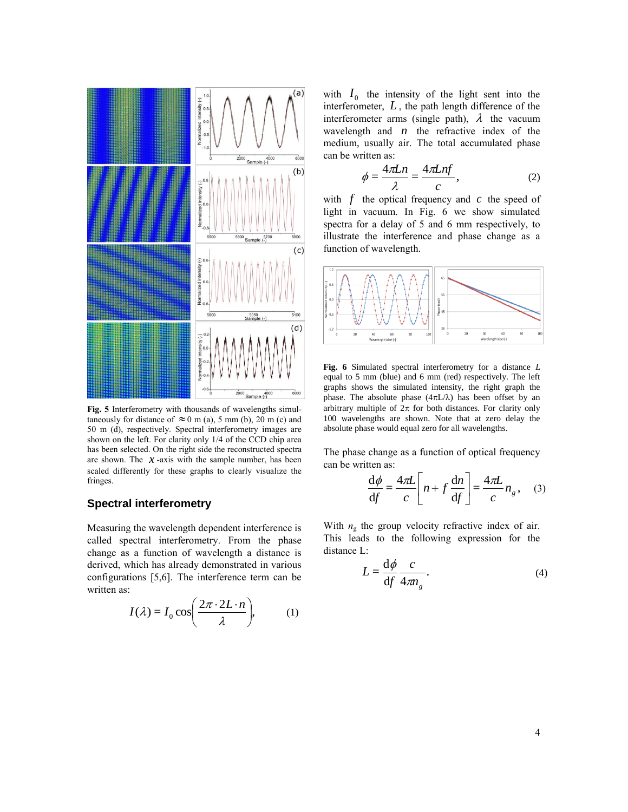

**Fig. 5** Interferometry with thousands of wavelengths simultaneously for distance of  $\approx 0$  m (a), 5 mm (b), 20 m (c) and 50 m (d), respectively. Spectral interferometry images are shown on the left. For clarity only 1/4 of the CCD chip area has been selected. On the right side the reconstructed spectra are shown. The  $\bar{x}$ -axis with the sample number, has been scaled differently for these graphs to clearly visualize the fringes.

### **Spectral interferometry**

Measuring the wavelength dependent interference is called spectral interferometry. From the phase change as a function of wavelength a distance is derived, which has already demonstrated in various configurations [5,6]. The interference term can be written as:

$$
I(\lambda) = I_0 \cos\left(\frac{2\pi \cdot 2L \cdot n}{\lambda}\right), \quad (1)
$$

with  $I_0$  the intensity of the light sent into the interferometer,  $L$ , the path length difference of the interferometer arms (single path),  $\lambda$  the vacuum wavelength and  $n$  the refractive index of the medium, usually air. The total accumulated phase can be written as:

$$
\phi = \frac{4\pi Ln}{\lambda} = \frac{4\pi Lnf}{c},\tag{2}
$$

with  $f$  the optical frequency and  $c$  the speed of light in vacuum. In Fig. 6 we show simulated spectra for a delay of 5 and 6 mm respectively, to illustrate the interference and phase change as a function of wavelength.



**Fig. 6** Simulated spectral interferometry for a distance *L* equal to 5 mm (blue) and 6 mm (red) respectively. The left graphs shows the simulated intensity, the right graph the phase. The absolute phase  $(4\pi L/\lambda)$  has been offset by an arbitrary multiple of  $2\pi$  for both distances. For clarity only 100 wavelengths are shown. Note that at zero delay the absolute phase would equal zero for all wavelengths.

The phase change as a function of optical frequency can be written as:

$$
\frac{d\phi}{df} = \frac{4\pi L}{c} \left[ n + f \frac{dn}{df} \right] = \frac{4\pi L}{c} n_g, \quad (3)
$$

With  $n_g$  the group velocity refractive index of air. This leads to the following expression for the distance L:

$$
L = \frac{\mathrm{d}\phi}{\mathrm{d}f} \frac{c}{4m_g}.\tag{4}
$$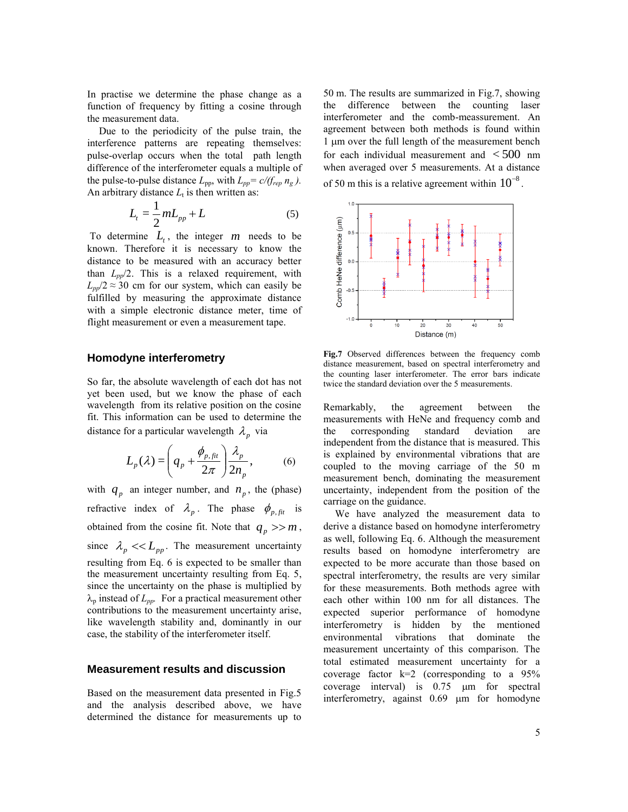In practise we determine the phase change as a function of frequency by fitting a cosine through the measurement data.

Due to the periodicity of the pulse train, the interference patterns are repeating themselves: pulse-overlap occurs when the total path length difference of the interferometer equals a multiple of the pulse-to-pulse distance  $L_{\text{pp}}$ , with  $L_{\text{pp}} = c/(f_{\text{rep}} n_{\text{g}})$ . An arbitrary distance  $L_t$  is then written as:

$$
L_t = \frac{1}{2}mL_{pp} + L\tag{5}
$$

To determine  $L_t$ , the integer  $m$  needs to be known. Therefore it is necessary to know the distance to be measured with an accuracy better than *Lpp*/2. This is a relaxed requirement, with  $L_{pp}/2 \approx 30$  cm for our system, which can easily be fulfilled by measuring the approximate distance with a simple electronic distance meter, time of flight measurement or even a measurement tape.

#### **Homodyne interferometry**

So far, the absolute wavelength of each dot has not yet been used, but we know the phase of each wavelength from its relative position on the cosine fit. This information can be used to determine the distance for a particular wavelength  $\lambda_p$  via

$$
L_p(\lambda) = \left(q_p + \frac{\phi_{p,fit}}{2\pi}\right) \frac{\lambda_p}{2n_p},\tag{6}
$$

with  $q_p$  an integer number, and  $n_p$ , the (phase) refractive index of  $\lambda_p$ . The phase  $\phi_{p,fit}$  is obtained from the cosine fit. Note that  $q_p \gg m$ , since  $\lambda_p \ll L_{pp}$ . The measurement uncertainty resulting from Eq. 6 is expected to be smaller than the measurement uncertainty resulting from Eq. 5, since the uncertainty on the phase is multiplied by  $\lambda_p$  instead of  $L_{pp}$ . For a practical measurement other contributions to the measurement uncertainty arise, like wavelength stability and, dominantly in our case, the stability of the interferometer itself.

#### **Measurement results and discussion**

Based on the measurement data presented in Fig.5 and the analysis described above, we have determined the distance for measurements up to

50 m. The results are summarized in Fig.7, showing the difference between the counting laser interferometer and the comb-meassurement. An agreement between both methods is found within 1 µm over the full length of the measurement bench for each individual measurement and  $\lt$  500 nm when averaged over 5 measurements. At a distance of 50 m this is a relative agreement within  $10^{-8}$ .



**Fig.7** Observed differences between the frequency comb distance measurement, based on spectral interferometry and the counting laser interferometer. The error bars indicate twice the standard deviation over the 5 measurements.

Remarkably, the agreement between the measurements with HeNe and frequency comb and the corresponding standard deviation are independent from the distance that is measured. This is explained by environmental vibrations that are coupled to the moving carriage of the 50 m measurement bench, dominating the measurement uncertainty, independent from the position of the carriage on the guidance.

We have analyzed the measurement data to derive a distance based on homodyne interferometry as well, following Eq. 6. Although the measurement results based on homodyne interferometry are expected to be more accurate than those based on spectral interferometry, the results are very similar for these measurements. Both methods agree with each other within 100 nm for all distances. The expected superior performance of homodyne interferometry is hidden by the mentioned environmental vibrations that dominate the measurement uncertainty of this comparison. The total estimated measurement uncertainty for a coverage factor  $k=2$  (corresponding to a 95% coverage interval) is  $0.75 \mu m$  for spectral interferometry, against  $0.69$   $\mu$ m for homodyne